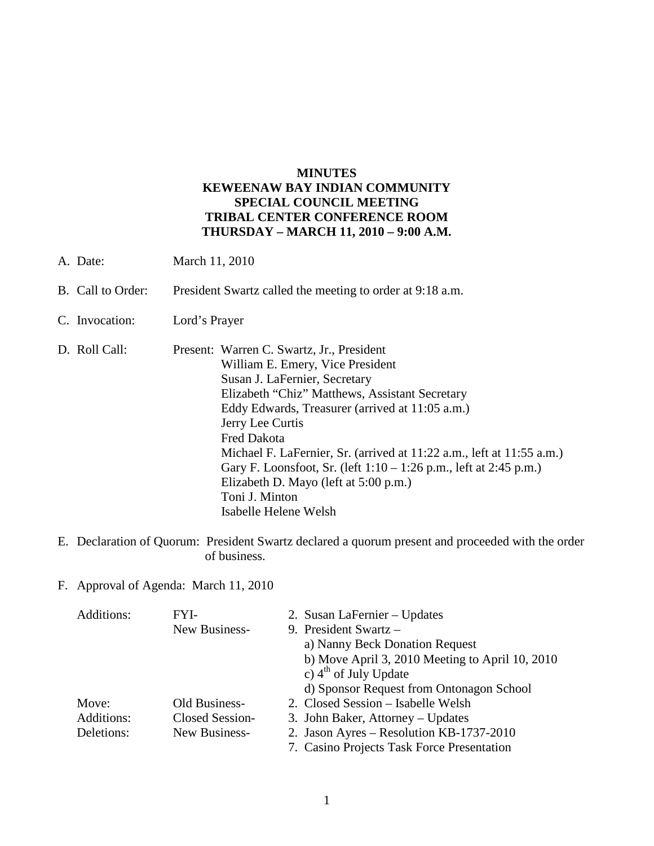#### **MINUTES KEWEENAW BAY INDIAN COMMUNITY SPECIAL COUNCIL MEETING TRIBAL CENTER CONFERENCE ROOM THURSDAY – MARCH 11, 2010 – 9:00 A.M.**

- A. Date: March 11, 2010
- B. Call to Order: President Swartz called the meeting to order at 9:18 a.m.
- C. Invocation: Lord's Prayer
- D. Roll Call: Present: Warren C. Swartz, Jr., President William E. Emery, Vice President Susan J. LaFernier, Secretary Elizabeth "Chiz" Matthews, Assistant Secretary Eddy Edwards, Treasurer (arrived at 11:05 a.m.) Jerry Lee Curtis Fred Dakota Michael F. LaFernier, Sr. (arrived at 11:22 a.m., left at 11:55 a.m.) Gary F. Loonsfoot, Sr. (left 1:10 – 1:26 p.m., left at 2:45 p.m.) Elizabeth D. Mayo (left at 5:00 p.m.) Toni J. Minton Isabelle Helene Welsh
- E. Declaration of Quorum: President Swartz declared a quorum present and proceeded with the order of business.

#### F. Approval of Agenda: March 11, 2010

| Additions: | FYI-            | 2. Susan LaFernier - Updates                    |
|------------|-----------------|-------------------------------------------------|
|            | New Business-   | 9. President Swartz -                           |
|            |                 | a) Nanny Beck Donation Request                  |
|            |                 | b) Move April 3, 2010 Meeting to April 10, 2010 |
|            |                 | c) $4^{th}$ of July Update                      |
|            |                 | d) Sponsor Request from Ontonagon School        |
| Move:      | Old Business-   | 2. Closed Session - Isabelle Welsh              |
| Additions: | Closed Session- | 3. John Baker, Attorney – Updates               |
| Deletions: | New Business-   | 2. Jason Ayres - Resolution KB-1737-2010        |
|            |                 | 7. Casino Projects Task Force Presentation      |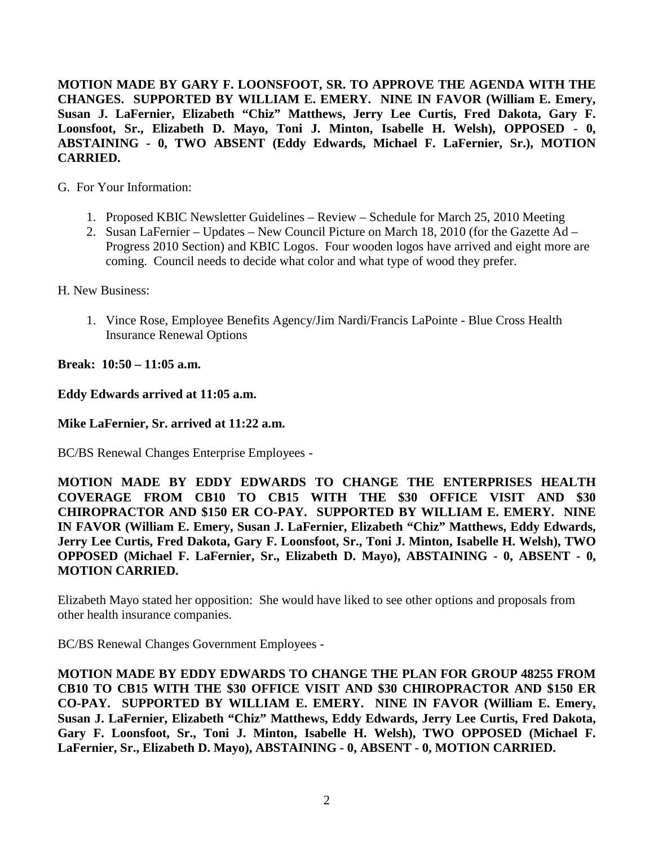**MOTION MADE BY GARY F. LOONSFOOT, SR. TO APPROVE THE AGENDA WITH THE CHANGES. SUPPORTED BY WILLIAM E. EMERY. NINE IN FAVOR (William E. Emery, Susan J. LaFernier, Elizabeth "Chiz" Matthews, Jerry Lee Curtis, Fred Dakota, Gary F. Loonsfoot, Sr., Elizabeth D. Mayo, Toni J. Minton, Isabelle H. Welsh), OPPOSED - 0, ABSTAINING - 0, TWO ABSENT (Eddy Edwards, Michael F. LaFernier, Sr.), MOTION CARRIED.**

G. For Your Information:

- 1. Proposed KBIC Newsletter Guidelines Review Schedule for March 25, 2010 Meeting
- 2. Susan LaFernier Updates New Council Picture on March 18, 2010 (for the Gazette Ad Progress 2010 Section) and KBIC Logos. Four wooden logos have arrived and eight more are coming. Council needs to decide what color and what type of wood they prefer.

H. New Business:

1. Vince Rose, Employee Benefits Agency/Jim Nardi/Francis LaPointe - Blue Cross Health Insurance Renewal Options

**Break: 10:50 – 11:05 a.m.** 

**Eddy Edwards arrived at 11:05 a.m.** 

**Mike LaFernier, Sr. arrived at 11:22 a.m.** 

BC/BS Renewal Changes Enterprise Employees -

**MOTION MADE BY EDDY EDWARDS TO CHANGE THE ENTERPRISES HEALTH COVERAGE FROM CB10 TO CB15 WITH THE \$30 OFFICE VISIT AND \$30 CHIROPRACTOR AND \$150 ER CO-PAY. SUPPORTED BY WILLIAM E. EMERY. NINE IN FAVOR (William E. Emery, Susan J. LaFernier, Elizabeth "Chiz" Matthews, Eddy Edwards, Jerry Lee Curtis, Fred Dakota, Gary F. Loonsfoot, Sr., Toni J. Minton, Isabelle H. Welsh), TWO OPPOSED (Michael F. LaFernier, Sr., Elizabeth D. Mayo), ABSTAINING - 0, ABSENT - 0, MOTION CARRIED.**

Elizabeth Mayo stated her opposition: She would have liked to see other options and proposals from other health insurance companies.

BC/BS Renewal Changes Government Employees -

**MOTION MADE BY EDDY EDWARDS TO CHANGE THE PLAN FOR GROUP 48255 FROM CB10 TO CB15 WITH THE \$30 OFFICE VISIT AND \$30 CHIROPRACTOR AND \$150 ER CO-PAY. SUPPORTED BY WILLIAM E. EMERY. NINE IN FAVOR (William E. Emery, Susan J. LaFernier, Elizabeth "Chiz" Matthews, Eddy Edwards, Jerry Lee Curtis, Fred Dakota, Gary F. Loonsfoot, Sr., Toni J. Minton, Isabelle H. Welsh), TWO OPPOSED (Michael F. LaFernier, Sr., Elizabeth D. Mayo), ABSTAINING - 0, ABSENT - 0, MOTION CARRIED.**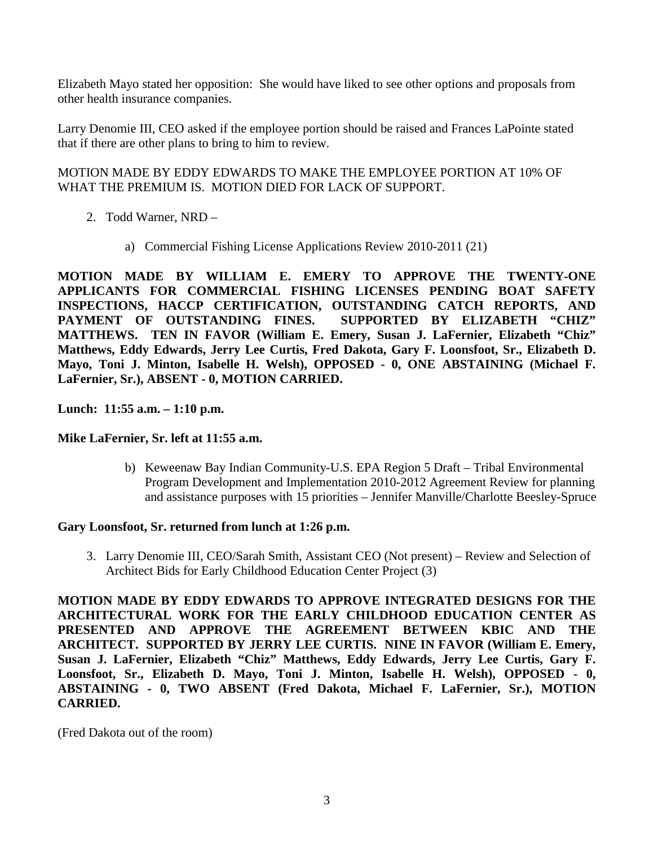Elizabeth Mayo stated her opposition: She would have liked to see other options and proposals from other health insurance companies.

Larry Denomie III, CEO asked if the employee portion should be raised and Frances LaPointe stated that if there are other plans to bring to him to review.

## MOTION MADE BY EDDY EDWARDS TO MAKE THE EMPLOYEE PORTION AT 10% OF WHAT THE PREMIUM IS. MOTION DIED FOR LACK OF SUPPORT.

- 2. Todd Warner, NRD
	- a) Commercial Fishing License Applications Review 2010-2011 (21)

**MOTION MADE BY WILLIAM E. EMERY TO APPROVE THE TWENTY-ONE APPLICANTS FOR COMMERCIAL FISHING LICENSES PENDING BOAT SAFETY INSPECTIONS, HACCP CERTIFICATION, OUTSTANDING CATCH REPORTS, AND PAYMENT OF OUTSTANDING FINES. SUPPORTED BY ELIZABETH "CHIZ" MATTHEWS. TEN IN FAVOR (William E. Emery, Susan J. LaFernier, Elizabeth "Chiz" Matthews, Eddy Edwards, Jerry Lee Curtis, Fred Dakota, Gary F. Loonsfoot, Sr., Elizabeth D. Mayo, Toni J. Minton, Isabelle H. Welsh), OPPOSED - 0, ONE ABSTAINING (Michael F. LaFernier, Sr.), ABSENT - 0, MOTION CARRIED.**

**Lunch: 11:55 a.m. – 1:10 p.m.** 

## **Mike LaFernier, Sr. left at 11:55 a.m.**

b) Keweenaw Bay Indian Community-U.S. EPA Region 5 Draft – Tribal Environmental Program Development and Implementation 2010-2012 Agreement Review for planning and assistance purposes with 15 priorities – Jennifer Manville/Charlotte Beesley-Spruce

## **Gary Loonsfoot, Sr. returned from lunch at 1:26 p.m.**

3. Larry Denomie III, CEO/Sarah Smith, Assistant CEO (Not present) – Review and Selection of Architect Bids for Early Childhood Education Center Project (3)

**MOTION MADE BY EDDY EDWARDS TO APPROVE INTEGRATED DESIGNS FOR THE ARCHITECTURAL WORK FOR THE EARLY CHILDHOOD EDUCATION CENTER AS PRESENTED AND APPROVE THE AGREEMENT BETWEEN KBIC AND THE ARCHITECT. SUPPORTED BY JERRY LEE CURTIS. NINE IN FAVOR (William E. Emery, Susan J. LaFernier, Elizabeth "Chiz" Matthews, Eddy Edwards, Jerry Lee Curtis, Gary F. Loonsfoot, Sr., Elizabeth D. Mayo, Toni J. Minton, Isabelle H. Welsh), OPPOSED - 0, ABSTAINING - 0, TWO ABSENT (Fred Dakota, Michael F. LaFernier, Sr.), MOTION CARRIED.**

(Fred Dakota out of the room)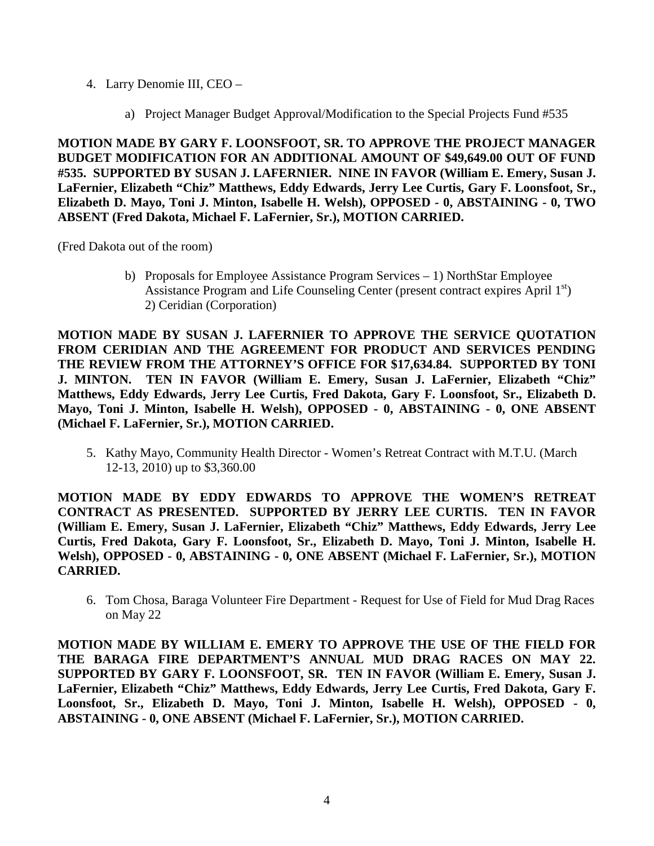- 4. Larry Denomie III, CEO
	- a) Project Manager Budget Approval/Modification to the Special Projects Fund #535

**MOTION MADE BY GARY F. LOONSFOOT, SR. TO APPROVE THE PROJECT MANAGER BUDGET MODIFICATION FOR AN ADDITIONAL AMOUNT OF \$49,649.00 OUT OF FUND #535. SUPPORTED BY SUSAN J. LAFERNIER. NINE IN FAVOR (William E. Emery, Susan J. LaFernier, Elizabeth "Chiz" Matthews, Eddy Edwards, Jerry Lee Curtis, Gary F. Loonsfoot, Sr., Elizabeth D. Mayo, Toni J. Minton, Isabelle H. Welsh), OPPOSED - 0, ABSTAINING - 0, TWO ABSENT (Fred Dakota, Michael F. LaFernier, Sr.), MOTION CARRIED.**

(Fred Dakota out of the room)

b) Proposals for Employee Assistance Program Services  $-1$ ) NorthStar Employee Assistance Program and Life Counseling Center (present contract expires April  $1<sup>st</sup>$ ) 2) Ceridian (Corporation)

**MOTION MADE BY SUSAN J. LAFERNIER TO APPROVE THE SERVICE QUOTATION FROM CERIDIAN AND THE AGREEMENT FOR PRODUCT AND SERVICES PENDING THE REVIEW FROM THE ATTORNEY'S OFFICE FOR \$17,634.84. SUPPORTED BY TONI J. MINTON. TEN IN FAVOR (William E. Emery, Susan J. LaFernier, Elizabeth "Chiz" Matthews, Eddy Edwards, Jerry Lee Curtis, Fred Dakota, Gary F. Loonsfoot, Sr., Elizabeth D. Mayo, Toni J. Minton, Isabelle H. Welsh), OPPOSED - 0, ABSTAINING - 0, ONE ABSENT (Michael F. LaFernier, Sr.), MOTION CARRIED.**

5. Kathy Mayo, Community Health Director - Women's Retreat Contract with M.T.U. (March 12-13, 2010) up to \$3,360.00

**MOTION MADE BY EDDY EDWARDS TO APPROVE THE WOMEN'S RETREAT CONTRACT AS PRESENTED. SUPPORTED BY JERRY LEE CURTIS. TEN IN FAVOR (William E. Emery, Susan J. LaFernier, Elizabeth "Chiz" Matthews, Eddy Edwards, Jerry Lee Curtis, Fred Dakota, Gary F. Loonsfoot, Sr., Elizabeth D. Mayo, Toni J. Minton, Isabelle H. Welsh), OPPOSED - 0, ABSTAINING - 0, ONE ABSENT (Michael F. LaFernier, Sr.), MOTION CARRIED.**

6. Tom Chosa, Baraga Volunteer Fire Department - Request for Use of Field for Mud Drag Races on May 22

**MOTION MADE BY WILLIAM E. EMERY TO APPROVE THE USE OF THE FIELD FOR THE BARAGA FIRE DEPARTMENT'S ANNUAL MUD DRAG RACES ON MAY 22. SUPPORTED BY GARY F. LOONSFOOT, SR. TEN IN FAVOR (William E. Emery, Susan J. LaFernier, Elizabeth "Chiz" Matthews, Eddy Edwards, Jerry Lee Curtis, Fred Dakota, Gary F. Loonsfoot, Sr., Elizabeth D. Mayo, Toni J. Minton, Isabelle H. Welsh), OPPOSED - 0, ABSTAINING - 0, ONE ABSENT (Michael F. LaFernier, Sr.), MOTION CARRIED.**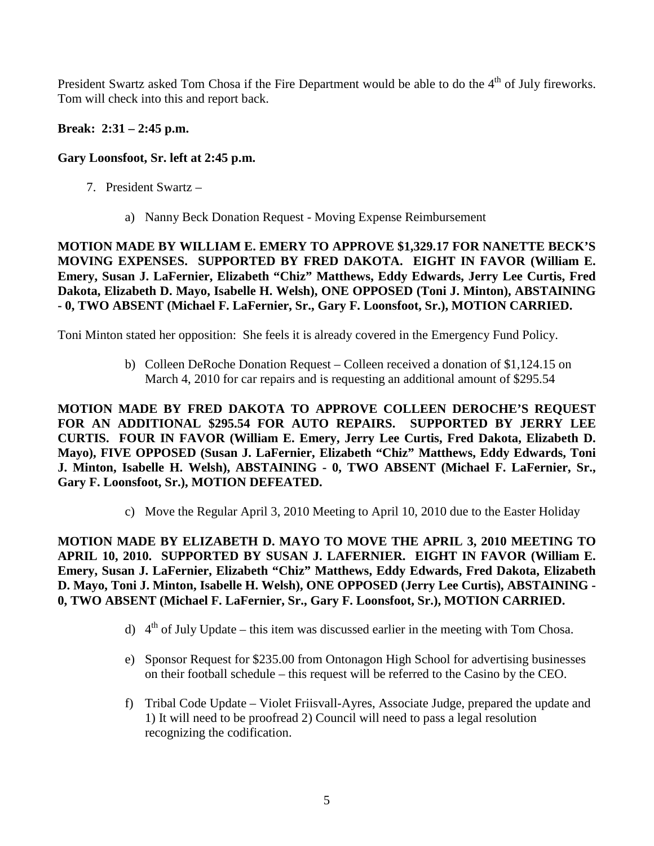President Swartz asked Tom Chosa if the Fire Department would be able to do the  $4<sup>th</sup>$  of July fireworks. Tom will check into this and report back.

## **Break: 2:31 – 2:45 p.m.**

# **Gary Loonsfoot, Sr. left at 2:45 p.m.**

- 7. President Swartz
	- a) Nanny Beck Donation Request Moving Expense Reimbursement

**MOTION MADE BY WILLIAM E. EMERY TO APPROVE \$1,329.17 FOR NANETTE BECK'S MOVING EXPENSES. SUPPORTED BY FRED DAKOTA. EIGHT IN FAVOR (William E. Emery, Susan J. LaFernier, Elizabeth "Chiz" Matthews, Eddy Edwards, Jerry Lee Curtis, Fred Dakota, Elizabeth D. Mayo, Isabelle H. Welsh), ONE OPPOSED (Toni J. Minton), ABSTAINING - 0, TWO ABSENT (Michael F. LaFernier, Sr., Gary F. Loonsfoot, Sr.), MOTION CARRIED.** 

Toni Minton stated her opposition: She feels it is already covered in the Emergency Fund Policy.

b) Colleen DeRoche Donation Request – Colleen received a donation of \$1,124.15 on March 4, 2010 for car repairs and is requesting an additional amount of \$295.54

**MOTION MADE BY FRED DAKOTA TO APPROVE COLLEEN DEROCHE'S REQUEST FOR AN ADDITIONAL \$295.54 FOR AUTO REPAIRS. SUPPORTED BY JERRY LEE CURTIS. FOUR IN FAVOR (William E. Emery, Jerry Lee Curtis, Fred Dakota, Elizabeth D. Mayo), FIVE OPPOSED (Susan J. LaFernier, Elizabeth "Chiz" Matthews, Eddy Edwards, Toni J. Minton, Isabelle H. Welsh), ABSTAINING - 0, TWO ABSENT (Michael F. LaFernier, Sr., Gary F. Loonsfoot, Sr.), MOTION DEFEATED.** 

c) Move the Regular April 3, 2010 Meeting to April 10, 2010 due to the Easter Holiday

**MOTION MADE BY ELIZABETH D. MAYO TO MOVE THE APRIL 3, 2010 MEETING TO APRIL 10, 2010. SUPPORTED BY SUSAN J. LAFERNIER. EIGHT IN FAVOR (William E. Emery, Susan J. LaFernier, Elizabeth "Chiz" Matthews, Eddy Edwards, Fred Dakota, Elizabeth D. Mayo, Toni J. Minton, Isabelle H. Welsh), ONE OPPOSED (Jerry Lee Curtis), ABSTAINING - 0, TWO ABSENT (Michael F. LaFernier, Sr., Gary F. Loonsfoot, Sr.), MOTION CARRIED.** 

- d)  $4<sup>th</sup>$  of July Update this item was discussed earlier in the meeting with Tom Chosa.
- e) Sponsor Request for \$235.00 from Ontonagon High School for advertising businesses on their football schedule – this request will be referred to the Casino by the CEO.
- f) Tribal Code Update Violet Friisvall-Ayres, Associate Judge, prepared the update and 1) It will need to be proofread 2) Council will need to pass a legal resolution recognizing the codification.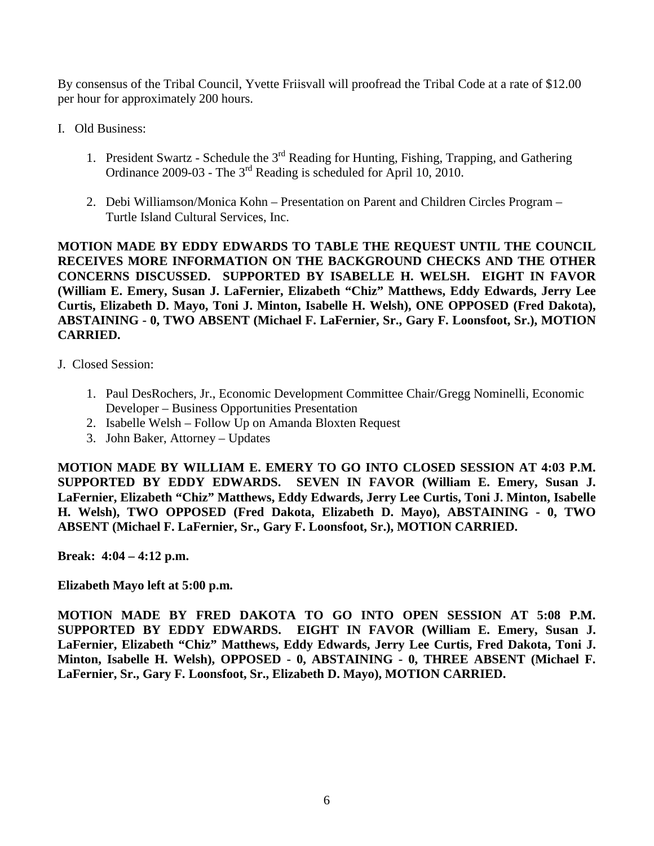By consensus of the Tribal Council, Yvette Friisvall will proofread the Tribal Code at a rate of \$12.00 per hour for approximately 200 hours.

- I. Old Business:
	- 1. President Swartz Schedule the 3<sup>rd</sup> Reading for Hunting, Fishing, Trapping, and Gathering Ordinance 2009-03 - The 3<sup>rd</sup> Reading is scheduled for April 10, 2010.
	- 2. Debi Williamson/Monica Kohn Presentation on Parent and Children Circles Program Turtle Island Cultural Services, Inc.

**MOTION MADE BY EDDY EDWARDS TO TABLE THE REQUEST UNTIL THE COUNCIL RECEIVES MORE INFORMATION ON THE BACKGROUND CHECKS AND THE OTHER CONCERNS DISCUSSED. SUPPORTED BY ISABELLE H. WELSH. EIGHT IN FAVOR (William E. Emery, Susan J. LaFernier, Elizabeth "Chiz" Matthews, Eddy Edwards, Jerry Lee Curtis, Elizabeth D. Mayo, Toni J. Minton, Isabelle H. Welsh), ONE OPPOSED (Fred Dakota), ABSTAINING - 0, TWO ABSENT (Michael F. LaFernier, Sr., Gary F. Loonsfoot, Sr.), MOTION CARRIED.**

- J. Closed Session:
	- 1. Paul DesRochers, Jr., Economic Development Committee Chair/Gregg Nominelli, Economic Developer – Business Opportunities Presentation
	- 2. Isabelle Welsh Follow Up on Amanda Bloxten Request
	- 3. John Baker, Attorney Updates

**MOTION MADE BY WILLIAM E. EMERY TO GO INTO CLOSED SESSION AT 4:03 P.M. SUPPORTED BY EDDY EDWARDS. SEVEN IN FAVOR (William E. Emery, Susan J. LaFernier, Elizabeth "Chiz" Matthews, Eddy Edwards, Jerry Lee Curtis, Toni J. Minton, Isabelle H. Welsh), TWO OPPOSED (Fred Dakota, Elizabeth D. Mayo), ABSTAINING - 0, TWO ABSENT (Michael F. LaFernier, Sr., Gary F. Loonsfoot, Sr.), MOTION CARRIED.** 

**Break: 4:04 – 4:12 p.m.** 

**Elizabeth Mayo left at 5:00 p.m.** 

**MOTION MADE BY FRED DAKOTA TO GO INTO OPEN SESSION AT 5:08 P.M. SUPPORTED BY EDDY EDWARDS. EIGHT IN FAVOR (William E. Emery, Susan J. LaFernier, Elizabeth "Chiz" Matthews, Eddy Edwards, Jerry Lee Curtis, Fred Dakota, Toni J. Minton, Isabelle H. Welsh), OPPOSED - 0, ABSTAINING - 0, THREE ABSENT (Michael F. LaFernier, Sr., Gary F. Loonsfoot, Sr., Elizabeth D. Mayo), MOTION CARRIED.**